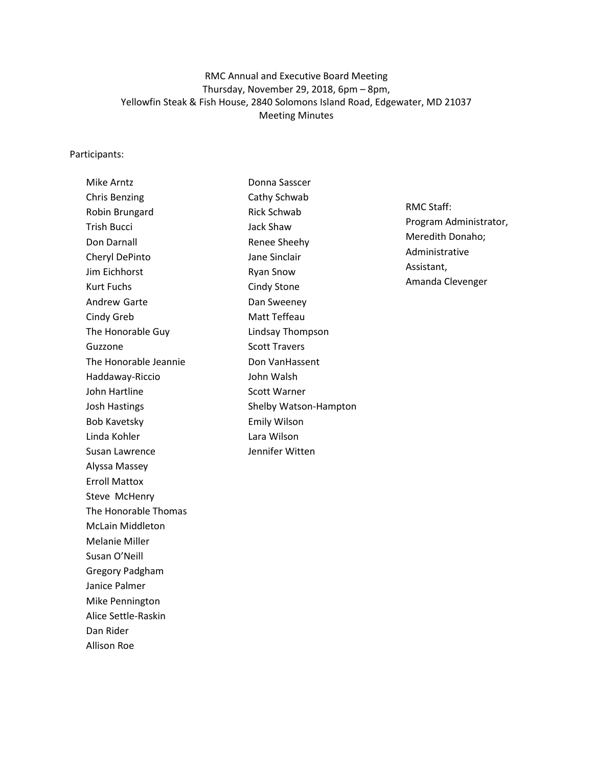# RMC Annual and Executive Board Meeting Thursday, November 29, 2018, 6pm – 8pm, Yellowfin Steak & Fish House, 2840 Solomons Island Road, Edgewater, MD 21037 Meeting Minutes

#### Participants:

| <b>Mike Arntz</b>       | Donn              |
|-------------------------|-------------------|
| <b>Chris Benzing</b>    | Cathy             |
| Robin Brungard          | Rick 9            |
| <b>Trish Bucci</b>      | Jack !            |
| Don Darnall             | Rene              |
| Cheryl DePinto          | Jane              |
| Jim Eichhorst           | Ryan              |
| <b>Kurt Fuchs</b>       | Cind <sub>y</sub> |
| <b>Andrew Garte</b>     | Dan 9             |
| Cindy Greb              | Matt              |
| The Honorable Guy       | Linds             |
| Guzzone                 | Scott             |
| The Honorable Jeannie   | Don \             |
| Haddaway-Riccio         | John              |
| John Hartline           | Scott             |
| <b>Josh Hastings</b>    | Shelb             |
| <b>Bob Kavetsky</b>     | Emily             |
| Linda Kohler            | Lara '            |
| Susan Lawrence          | Jenni             |
| Alyssa Massey           |                   |
| <b>Erroll Mattox</b>    |                   |
| Steve McHenry           |                   |
| The Honorable Thomas    |                   |
| <b>McLain Middleton</b> |                   |
| <b>Melanie Miller</b>   |                   |
| Susan O'Neill           |                   |
| <b>Gregory Padgham</b>  |                   |
| Janice Palmer           |                   |
| Mike Pennington         |                   |
| Alice Settle-Raskin     |                   |
| Dan Rider               |                   |
| Allison Roe             |                   |
|                         |                   |

Donna Sasscer y Schwab Schwab Shaw e Sheehy Sinclair Snow y Stone Sweeney Teffeau ay Thompson : Travers Van Hassent Walsh Warner by Watson-Hampton Emily Wilson Wilson ifer Witten

RMC Staff: Program Administrator, Meredith Donaho; Administrative Assistant, Amanda Clevenger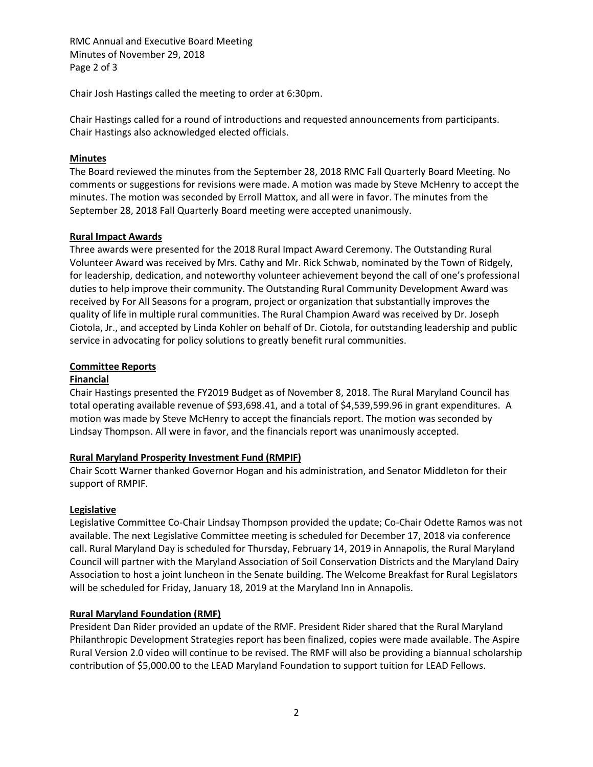RMC Annual and Executive Board Meeting Minutes of November 29, 2018 Page 2 of 3

Chair Josh Hastings called the meeting to order at 6:30pm.

Chair Hastings called for a round of introductions and requested announcements from participants. Chair Hastings also acknowledged elected officials.

## **Minutes**

The Board reviewed the minutes from the September 28, 2018 RMC Fall Quarterly Board Meeting. No comments or suggestions for revisions were made. A motion was made by Steve McHenry to accept the minutes. The motion was seconded by Erroll Mattox, and all were in favor. The minutes from the September 28, 2018 Fall Quarterly Board meeting were accepted unanimously.

## **Rural Impact Awards**

Three awards were presented for the 2018 Rural Impact Award Ceremony. The Outstanding Rural Volunteer Award was received by Mrs. Cathy and Mr. Rick Schwab, nominated by the Town of Ridgely, for leadership, dedication, and noteworthy volunteer achievement beyond the call of one's professional duties to help improve their community. The Outstanding Rural Community Development Award was received by For All Seasons for a program, project or organization that substantially improves the quality of life in multiple rural communities. The Rural Champion Award was received by Dr. Joseph Ciotola, Jr., and accepted by Linda Kohler on behalf of Dr. Ciotola, for outstanding leadership and public service in advocating for policy solutions to greatly benefit rural communities.

## **Committee Reports**

### **Financial**

Chair Hastings presented the FY2019 Budget as of November 8, 2018. The Rural Maryland Council has total operating available revenue of \$93,698.41, and a total of \$4,539,599.96 in grant expenditures. A motion was made by Steve McHenry to accept the financials report. The motion was seconded by Lindsay Thompson. All were in favor, and the financials report was unanimously accepted.

### **Rural Maryland Prosperity Investment Fund (RMPIF)**

Chair Scott Warner thanked Governor Hogan and his administration, and Senator Middleton for their support of RMPIF.

### **Legislative**

Legislative Committee Co-Chair Lindsay Thompson provided the update; Co-Chair Odette Ramos was not available. The next Legislative Committee meeting is scheduled for December 17, 2018 via conference call. Rural Maryland Day is scheduled for Thursday, February 14, 2019 in Annapolis, the Rural Maryland Council will partner with the Maryland Association of Soil Conservation Districts and the Maryland Dairy Association to host a joint luncheon in the Senate building. The Welcome Breakfast for Rural Legislators will be scheduled for Friday, January 18, 2019 at the Maryland Inn in Annapolis.

### **Rural Maryland Foundation (RMF)**

President Dan Rider provided an update of the RMF. President Rider shared that the Rural Maryland Philanthropic Development Strategies report has been finalized, copies were made available. The Aspire Rural Version 2.0 video will continue to be revised. The RMF will also be providing a biannual scholarship contribution of \$5,000.00 to the LEAD Maryland Foundation to support tuition for LEAD Fellows.